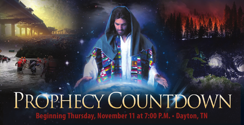# PROPHECY COUNTDOWN **Beginning Thursday, November 11 at 7:00 P.M. • Dayton, TN**